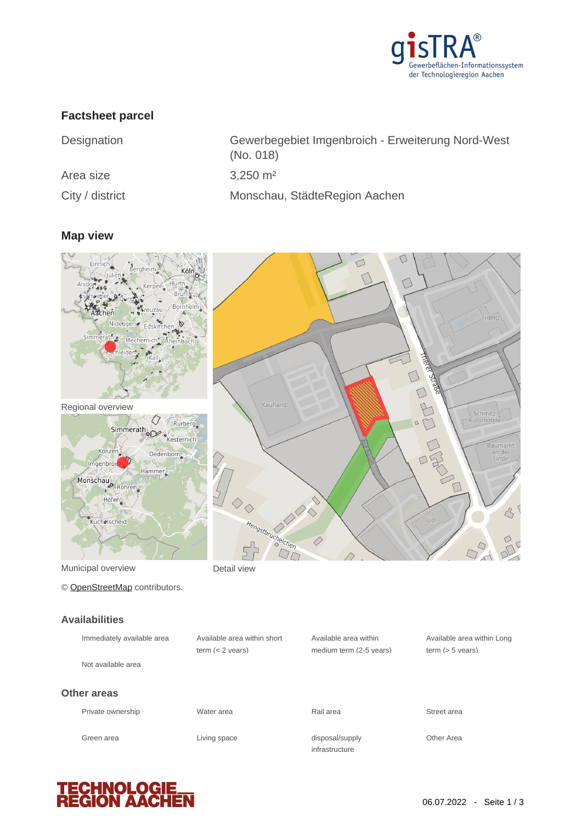

## **Factsheet parcel**

| Designation     | Gewerbegebiet Imgenbroich - Erweiterung Nord-West<br>(No. 018) |
|-----------------|----------------------------------------------------------------|
| Area size       | $3,250 \text{ m}^2$                                            |
| City / district | Monschau, StädteRegion Aachen                                  |

### **Map view**



Municipal overview **Detail view** 

© [OpenStreetMap](http://www.openstreetmap.org/copyright) contributors.

|                         | $\bigcap$                | HIMO                                                      |
|-------------------------|--------------------------|-----------------------------------------------------------|
| Kaufland                | <b>THERE</b> STURE<br>EE | Schmitz                                                   |
|                         | $\Box$                   | Baumarkt<br>an der<br>Linde<br>$\overrightarrow{a}$       |
| 00<br>Hengstbrüchelchen | Lidl                     | $\mathcal{L}_{\mathcal{F}}$<br>$\frac{1}{D}$<br>$\sqrt{}$ |

**Availabilities**

| Immediately available area | Available area within short<br>term $(< 2$ years) | Available area within<br>medium term (2-5 years) | Available area within Long<br>term $(> 5$ vears) |
|----------------------------|---------------------------------------------------|--------------------------------------------------|--------------------------------------------------|
| Not available area         |                                                   |                                                  |                                                  |
| Other areas                |                                                   |                                                  |                                                  |
| Private ownership          | Water area                                        | Rail area                                        | Street area                                      |
| Green area                 | Living space                                      | disposal/supply<br>infrastructure                | Other Area                                       |

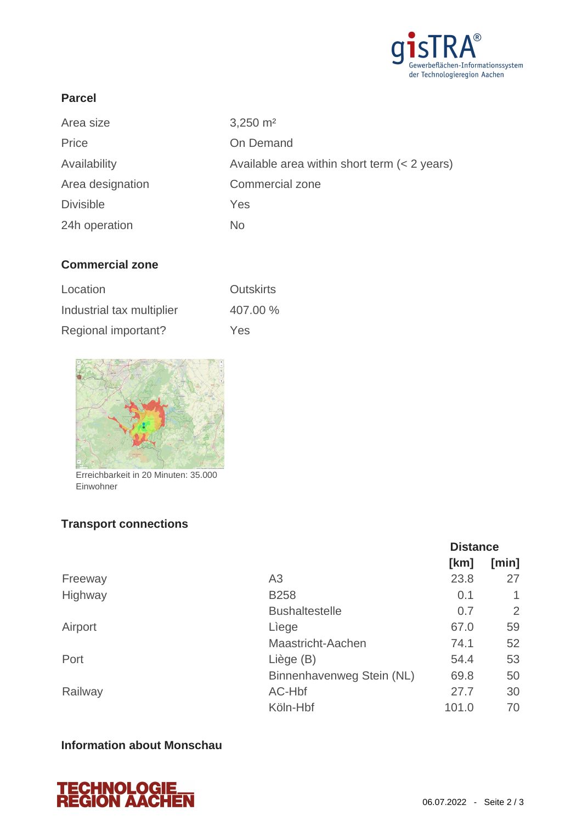

### **Parcel**

| Area size        | $3,250 \text{ m}^2$                            |
|------------------|------------------------------------------------|
| Price            | On Demand                                      |
| Availability     | Available area within short term $(< 2$ years) |
| Area designation | Commercial zone                                |
| <b>Divisible</b> | Yes                                            |
| 24h operation    | No.                                            |

## **Commercial zone**

| Location                  | <b>Outskirts</b> |
|---------------------------|------------------|
| Industrial tax multiplier | 407.00 %         |
| Regional important?       | Yes              |



Erreichbarkeit in 20 Minuten: 35.000 Einwohner

# **Transport connections**

|         |                           | <b>Distance</b> |       |
|---------|---------------------------|-----------------|-------|
|         |                           | [km]            | [min] |
| Freeway | A <sub>3</sub>            | 23.8            | 27    |
| Highway | <b>B258</b>               | 0.1             |       |
|         | <b>Bushaltestelle</b>     | 0.7             | 2     |
| Airport | Liege                     | 67.0            | 59    |
|         | Maastricht-Aachen         | 74.1            | 52    |
| Port    | Liège (B)                 | 54.4            | 53    |
|         | Binnenhavenweg Stein (NL) | 69.8            | 50    |
| Railway | AC-Hbf                    | 27.7            | 30    |
|         | Köln-Hbf                  | 101.0           | 70    |

# **Information about Monschau**